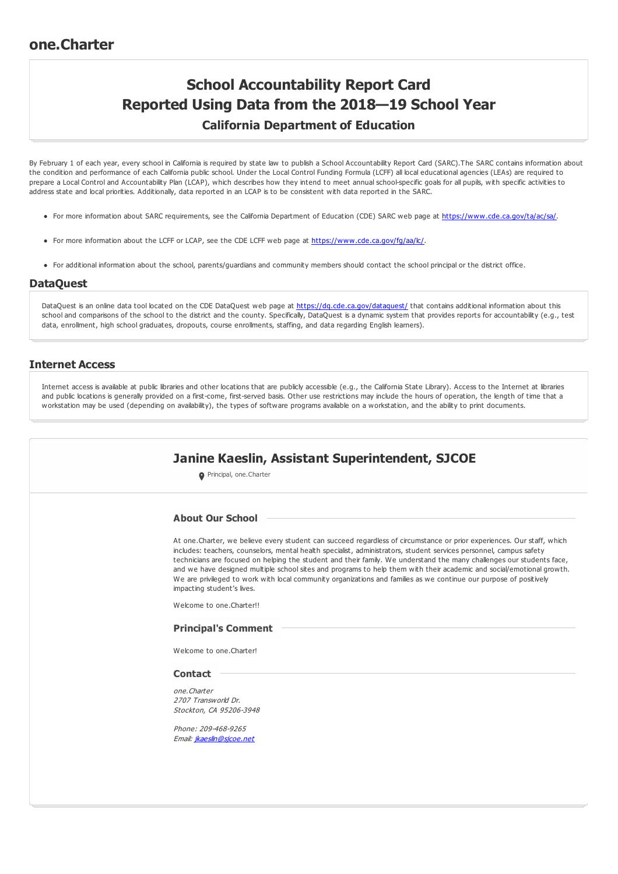# **one.Charter**

# **School Accountability Report Card Reported Using Data from the 2018—19 School Year California Department of Education**

By February 1 of each year, every school in California is required by state law to publish a School Accountability Report Card (SARC).The SARC contains information about the condition and performance of each California public school. Under the Local Control Funding Formula (LCFF) all local educational agencies (LEAs) are required to prepare a Local Control and Accountability Plan (LCAP), which describes how they intend to meet annual school-specific goals for all pupils, with specific activities to address state and local priorities. Additionally, data reported in an LCAP is to be consistent with data reported in the SARC.

- For more information about SARC requirements, see the California Department of Education (CDE) SARC web page at <https://www.cde.ca.gov/ta/ac/sa/>.
- For more information about the LCFF or LCAP, see the CDE LCFF web page at <https://www.cde.ca.gov/fg/aa/lc/>.
- For additional information about the school, parents/guardians and community members should contact the school principal or the district office.

#### **DataQuest**

DataQuest is an online data tool located on the CDE DataQuest web page at <https://dq.cde.ca.gov/dataquest/> that contains additional information about this school and comparisons of the school to the district and the county. Specifically, DataQuest is a dynamic system that provides reports for accountability (e.g., test data, enrollment, high school graduates, dropouts, course enrollments, staffing, and data regarding English learners).

#### **Internet Access**

Internet access is available at public libraries and other locations that are publicly accessible (e.g., the California State Library). Access to the Internet at libraries and public locations is generally provided on a first-come, first-served basis. Other use restrictions may include the hours of operation, the length of time that a workstation may be used (depending on availability), the types of software programs available on a workstation, and the ability to print documents.

# **Janine Kaeslin, Assistant Superintendent, SJCOE O** Principal, one. Charter At one.Charter, we believe every student can succeed regardless of circumstance or prior experiences. Our staff, which includes: teachers, counselors, mental health specialist, administrators, student services personnel, campus safety technicians are focused on helping the student and their family. We understand the many challenges our students face, and we have designed multiple school sites and programs to help them with their academic and social/emotional growth. We are privileged to work with local community organizations and families as we continue our purpose of positively impacting student's lives. Welcome to one.Charter!! Welcome to one.Charter! one.Charter 2707 Transworld Dr. Stockton, CA 95206-3948 Phone: 209-468-9265 Email: [jkaeslin@sjcoe.net](mailto:jkaeslin@sjcoe.net) **About Our School Principal's Comment Contact**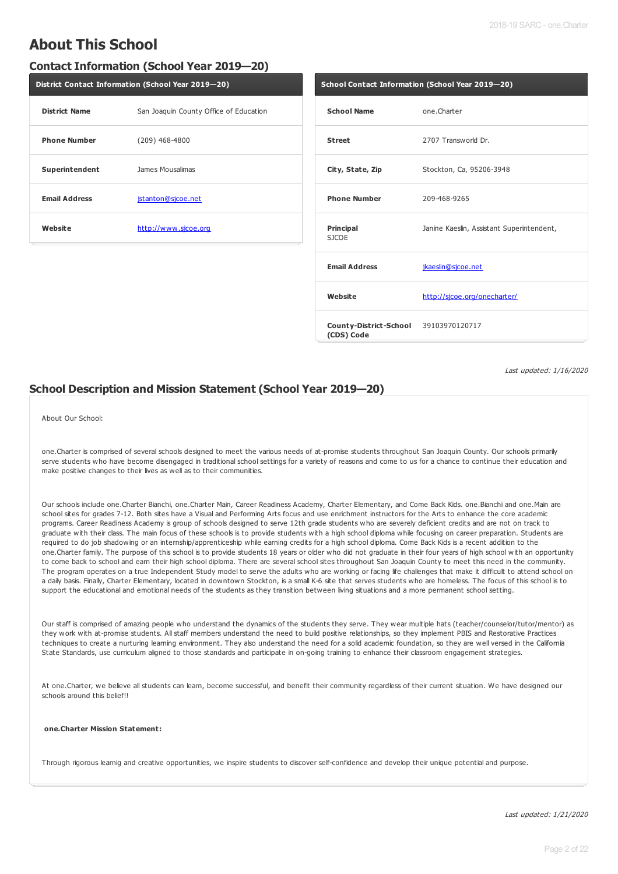# **About This School**

### **Contact Information (School Year 2019—20)**

| District Contact Information (School Year 2019-20) |                                        |  |  |
|----------------------------------------------------|----------------------------------------|--|--|
| <b>District Name</b>                               | San Joaquin County Office of Education |  |  |
| <b>Phone Number</b>                                | $(209)$ 468-4800                       |  |  |
| Superintendent                                     | <b>James Mousalimas</b>                |  |  |
| <b>Email Address</b>                               | jstanton@sjcoe.net                     |  |  |
| Website                                            | http://www.sjcoe.org                   |  |  |

| School Contact Information (School Year 2019-20)    |                                           |  |  |  |
|-----------------------------------------------------|-------------------------------------------|--|--|--|
| <b>School Name</b>                                  | one.Charter                               |  |  |  |
| <b>Street</b>                                       | 2707 Transworld Dr.                       |  |  |  |
| City, State, Zip                                    | Stockton, Ca, 95206-3948                  |  |  |  |
| <b>Phone Number</b>                                 | 209-468-9265                              |  |  |  |
| <b>Principal</b><br><b>SJCOE</b>                    | Janine Kaeslin, Assistant Superintendent, |  |  |  |
| <b>Email Address</b>                                | jkaeslin@sjcoe.net                        |  |  |  |
| Website                                             | http://sjcoe.org/onecharter/              |  |  |  |
| County-District-School 39103970120717<br>(CDS) Code |                                           |  |  |  |

Last updated: 1/16/2020

## **School Description and Mission Statement (School Year 2019—20)**

#### About Our School:

one.Charter is comprised of several schools designed to meet the various needs of at-promise students throughout San Joaquin County. Our schools primarily serve students who have become disengaged in traditional school settings for a variety of reasons and come to us for a chance to continue their education and make positive changes to their lives as well as to their communities.

Our schools include one.Charter Bianchi, one.Charter Main, Career Readiness Academy, Charter Elementary, and Come Back Kids. one.Bianchi and one.Main are school sites for grades 7-12. Both sites have a Visual and Performing Arts focus and use enrichment instructors for the Arts to enhance the core academic programs. Career Readiness Academy is group of schools designed to serve 12th grade students who are severely deficient credits and are not on track to graduate with their class. The main focus of these schools is to provide students with a high school diploma while focusing on career preparation. Students are required to do job shadowing or an internship/apprenticeship while earning credits for a high school diploma. Come Back Kids is a recent addition to the one.Charter family. The purpose of this school is to provide students 18 years or older who did not graduate in their four years of high school with an opportunity to come back to school and earn their high school diploma. There are several school sites throughout San Joaquin County to meet this need in the community. The program operates on a true Independent Study model to serve the adults who are working or facing life challenges that make it difficult to attend school on a daily basis. Finally, Charter Elementary, located in downtown Stockton, is a small K-6 site that serves students who are homeless. The focus of this school is to support the educational and emotional needs of the students as they transition between living situations and a more permanent school setting.

Our staff is comprised of amazing people who understand the dynamics of the students they serve. They wear multiple hats (teacher/counselor/tutor/mentor) as they work with at-promise students. All staff members understand the need to build positive relationships, so they implement PBIS and Restorative Practices techniques to create a nurturing learning environment. They also understand the need for a solid academic foundation, so they are well versed in the California State Standards, use curriculum aligned to those standards and participate in on-going training to enhance their classroom engagement strategies.

At one.Charter, we believe all students can learn, become successful, and benefit their community regardless of their current situation. We have designed our schools around this belief!!

#### **one.Charter Mission Statement:**

Through rigorous learnig and creative opportunities, we inspire students to discover self-confidence and develop their unique potential and purpose.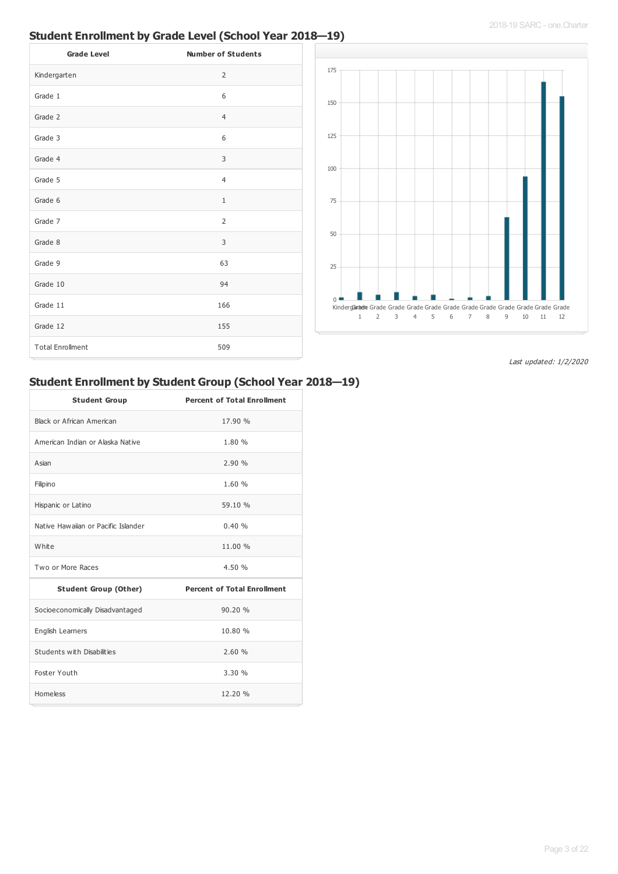# **Student Enrollment by Grade Level (School Year 2018—19)**

| <b>Grade Level</b>      | <b>Number of Students</b> |
|-------------------------|---------------------------|
| Kindergarten            | $\overline{2}$            |
| Grade 1                 | 6                         |
| Grade 2                 | $\overline{4}$            |
| Grade 3                 | 6                         |
| Grade 4                 | 3                         |
| Grade 5                 | $\overline{4}$            |
| Grade 6                 | $\mathbf{1}$              |
| Grade 7                 | $\overline{2}$            |
| Grade 8                 | 3                         |
| Grade 9                 | 63                        |
| Grade 10                | 94                        |
| Grade 11                | 166                       |
| Grade 12                | 155                       |
| <b>Total Enrollment</b> | 509                       |



Last updated: 1/2/2020

# **Student Enrollment by Student Group (School Year 2018—19)**

| <b>Student Group</b>                | <b>Percent of Total Enrollment</b> |
|-------------------------------------|------------------------------------|
| Black or African American           | 17.90 %                            |
| American Indian or Alaska Native    | 1.80 %                             |
| Asian                               | 2.90%                              |
| Filipino                            | 1.60 %                             |
| Hispanic or Latino                  | 59.10 %                            |
| Native Hawaiian or Pacific Islander | 0.40%                              |
| White                               | 11.00 %                            |
| Two or More Races                   | 4.50%                              |
|                                     |                                    |
| <b>Student Group (Other)</b>        | <b>Percent of Total Enrollment</b> |
| Socioeconomically Disadvantaged     | 90.20%                             |
| English Learners                    | 10.80 %                            |
| Students with Disabilities          | 2.60%                              |
| Foster Youth                        | 3.30%                              |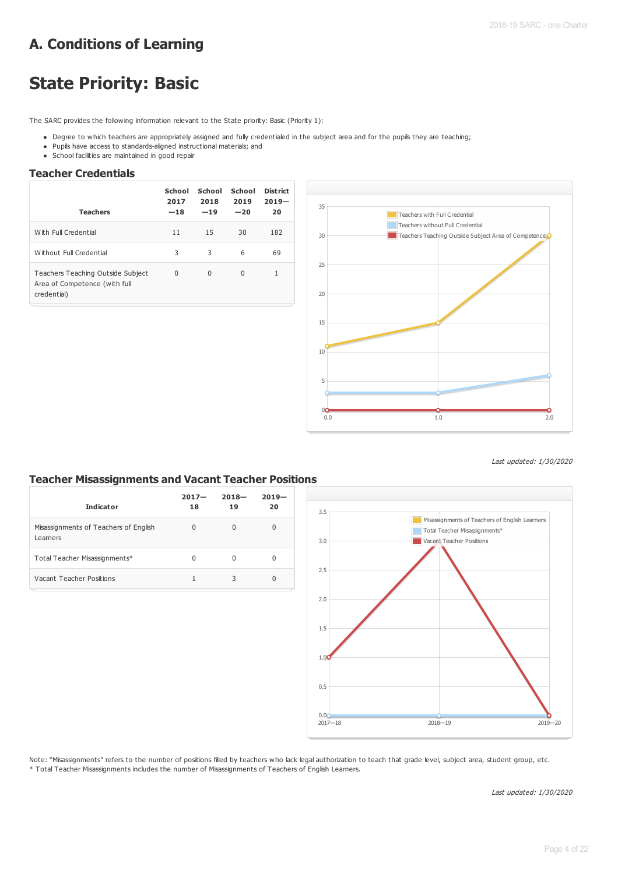# **A. Conditions of Learning**

# **State Priority: Basic**

The SARC provides the following information relevant to the State priority: Basic (Priority 1):

- Degree to which teachers are appropriately assigned and fully credentialed in the subject area and for the pupils they are teaching;
- Pupils have access to standards-aligned instructional materials; and
- School facilities are maintained in good repair

## **Teacher Credentials**

| <b>Teachers</b>                                                                   | School<br>2017<br>$-18$ | School<br>2018<br>$-19$ | School<br>2019<br>$-20$ | <b>District</b><br>$2019 -$<br>20 |
|-----------------------------------------------------------------------------------|-------------------------|-------------------------|-------------------------|-----------------------------------|
| With Full Credential                                                              | 11                      | 15                      | 30                      | 182                               |
| Without Full Credential                                                           | 3                       | 3                       | 6                       | 69                                |
| Teachers Teaching Outside Subject<br>Area of Competence (with full<br>credential) | 0                       | $\Omega$                | $\Omega$                | 1                                 |



Last updated: 1/30/2020

## **Teacher Misassignments and Vacant Teacher Positions**

| <b>Indicator</b>                                  | $2017 -$<br>18 | $2018 -$<br>19 | $2019-$<br>20 |
|---------------------------------------------------|----------------|----------------|---------------|
| Misassignments of Teachers of English<br>Learners | 0              | $\Omega$       | 0             |
| Total Teacher Misassignments*                     | 0              | O              | Ω             |
| Vacant Teacher Positions                          |                | 3              | 0             |



Note: "Misassignments" refers to the number of positions filled by teachers who lack legal authorization to teach that grade level, subject area, student group, etc. \* Total Teacher Misassignments includes the number of Misassignments of Teachers of English Learners.

Last updated: 1/30/2020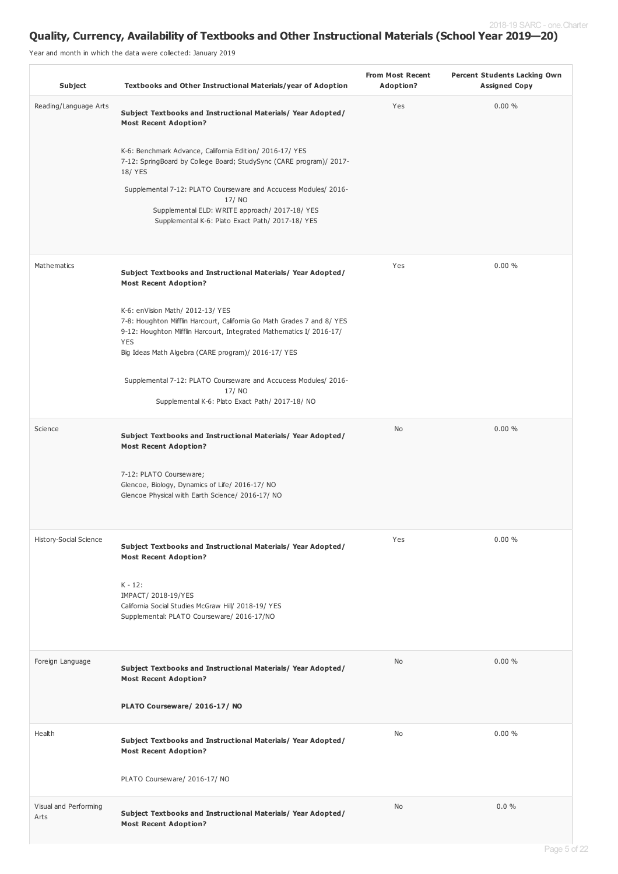# **Quality, Currency, Availability of Textbooks and Other Instructional Materials (School Year 2019—20)**

Year and month in which the data were collected: January 2019

| Subject                       | Textbooks and Other Instructional Materials/year of Adoption                                                                                                                                                                                           | <b>From Most Recent</b><br><b>Adoption?</b> | <b>Percent Students Lacking Own</b><br><b>Assigned Copy</b> |
|-------------------------------|--------------------------------------------------------------------------------------------------------------------------------------------------------------------------------------------------------------------------------------------------------|---------------------------------------------|-------------------------------------------------------------|
| Reading/Language Arts         | Subject Textbooks and Instructional Materials/Year Adopted/<br><b>Most Recent Adoption?</b>                                                                                                                                                            | Yes                                         | 0.00%                                                       |
|                               | K-6: Benchmark Advance, California Edition/ 2016-17/ YES<br>7-12: SpringBoard by College Board; StudySync (CARE program)/ 2017-<br>18/ YES                                                                                                             |                                             |                                                             |
|                               | Supplemental 7-12: PLATO Courseware and Accucess Modules/ 2016-<br>17/ NO<br>Supplemental ELD: WRITE approach/ 2017-18/ YES<br>Supplemental K-6: Plato Exact Path/ 2017-18/ YES                                                                        |                                             |                                                             |
| Mathematics                   | Subject Textbooks and Instructional Materials/Year Adopted/<br><b>Most Recent Adoption?</b>                                                                                                                                                            | Yes                                         | 0.00%                                                       |
|                               | K-6: enVision Math/ 2012-13/ YES<br>7-8: Houghton Mifflin Harcourt, California Go Math Grades 7 and 8/ YES<br>9-12: Houghton Mifflin Harcourt, Integrated Mathematics I/ 2016-17/<br><b>YES</b><br>Big Ideas Math Algebra (CARE program)/ 2016-17/ YES |                                             |                                                             |
|                               | Supplemental 7-12: PLATO Courseware and Accucess Modules/ 2016-<br>17/NO                                                                                                                                                                               |                                             |                                                             |
|                               | Supplemental K-6: Plato Exact Path/ 2017-18/ NO                                                                                                                                                                                                        |                                             |                                                             |
| Science                       | Subject Textbooks and Instructional Materials/Year Adopted/<br><b>Most Recent Adoption?</b>                                                                                                                                                            | No                                          | 0.00%                                                       |
|                               | 7-12: PLATO Courseware;<br>Glencoe, Biology, Dynamics of Life/ 2016-17/ NO<br>Glencoe Physical with Earth Science/ 2016-17/ NO                                                                                                                         |                                             |                                                             |
| History-Social Science        | Subject Textbooks and Instructional Materials/Year Adopted/<br><b>Most Recent Adoption?</b>                                                                                                                                                            | Yes                                         | 0.00%                                                       |
|                               | $K - 12$ :<br>IMPACT/ 2018-19/YES<br>California Social Studies McGraw Hill/ 2018-19/ YES<br>Supplemental: PLATO Courseware/ 2016-17/NO                                                                                                                 |                                             |                                                             |
| Foreign Language              | Subject Textbooks and Instructional Materials/Year Adopted/<br><b>Most Recent Adoption?</b>                                                                                                                                                            | No                                          | 0.00%                                                       |
|                               | PLATO Courseware/ 2016-17/ NO                                                                                                                                                                                                                          |                                             |                                                             |
| Health                        | Subject Textbooks and Instructional Materials/Year Adopted/<br><b>Most Recent Adoption?</b>                                                                                                                                                            | No                                          | 0.00%                                                       |
|                               | PLATO Courseware/ 2016-17/ NO                                                                                                                                                                                                                          |                                             |                                                             |
| Visual and Performing<br>Arts | Subject Textbooks and Instructional Materials/Year Adopted/<br><b>Most Recent Adoption?</b>                                                                                                                                                            | No                                          | 0.0%                                                        |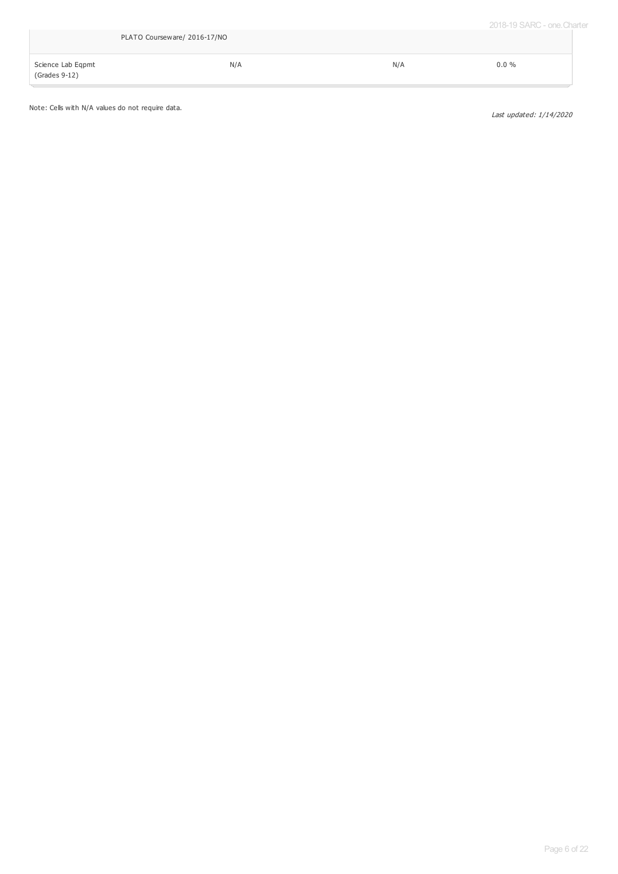| PLATO Courseware/ 2016-17/NO       |     |     |      |  |  |
|------------------------------------|-----|-----|------|--|--|
| Science Lab Egpmt<br>(Grades 9-12) | N/A | N/A | 0.0% |  |  |

Note: Cells with N/A values do not require data.

Last updated: 1/14/2020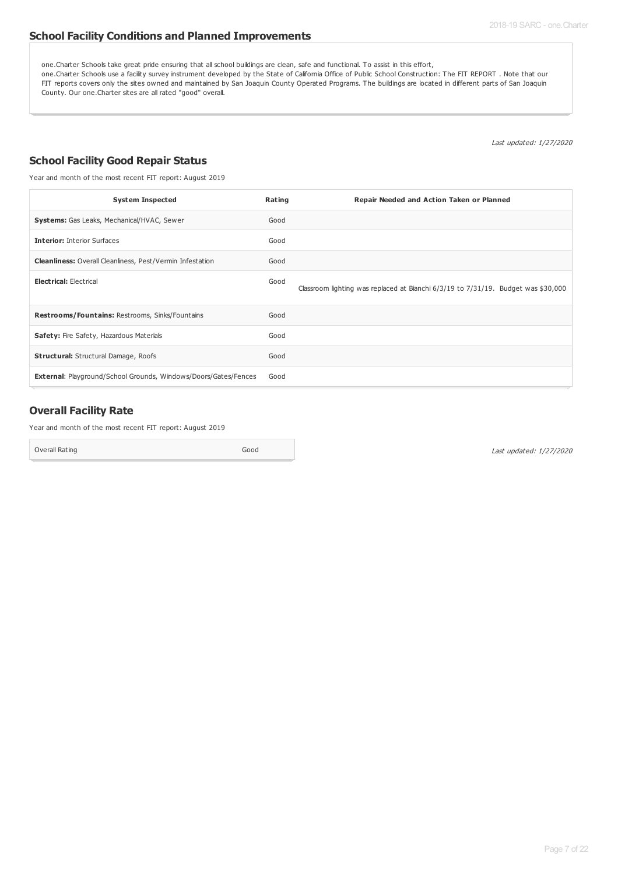## **School Facility Conditions and Planned Improvements**

one.Charter Schools take great pride ensuring that all school buildings are clean, safe and functional. To assist in this effort, one.Charter Schools use a facility survey instrument developed by the State of California Office of Public School Construction: The FIT REPORT . Note that our FIT reports covers only the sites owned and maintained by San Joaquin County Operated Programs. The buildings are located in different parts of San Joaquin County. Our one.Charter sites are all rated "good" overall.

Last updated: 1/27/2020

## **School Facility Good Repair Status**

Year and month of the most recent FIT report: August 2019

| <b>System Inspected</b>                                                | Rating | Repair Needed and Action Taken or Planned                                         |
|------------------------------------------------------------------------|--------|-----------------------------------------------------------------------------------|
| <b>Systems:</b> Gas Leaks, Mechanical/HVAC, Sewer                      | Good   |                                                                                   |
| <b>Interior: Interior Surfaces</b>                                     | Good   |                                                                                   |
| <b>Cleanliness:</b> Overall Cleanliness, Pest/Vermin Infestation       | Good   |                                                                                   |
| <b>Electrical: Electrical</b>                                          | Good   | Classroom lighting was replaced at Bianchi 6/3/19 to 7/31/19. Budget was \$30,000 |
| Restrooms/Fountains: Restrooms, Sinks/Fountains                        | Good   |                                                                                   |
| Safety: Fire Safety, Hazardous Materials                               | Good   |                                                                                   |
| <b>Structural:</b> Structural Damage, Roofs                            | Good   |                                                                                   |
| <b>External: Playground/School Grounds, Windows/Doors/Gates/Fences</b> | Good   |                                                                                   |

## **Overall Facility Rate**

Year and month of the most recent FIT report: August 2019

Overall Rating Good

Last updated: 1/27/2020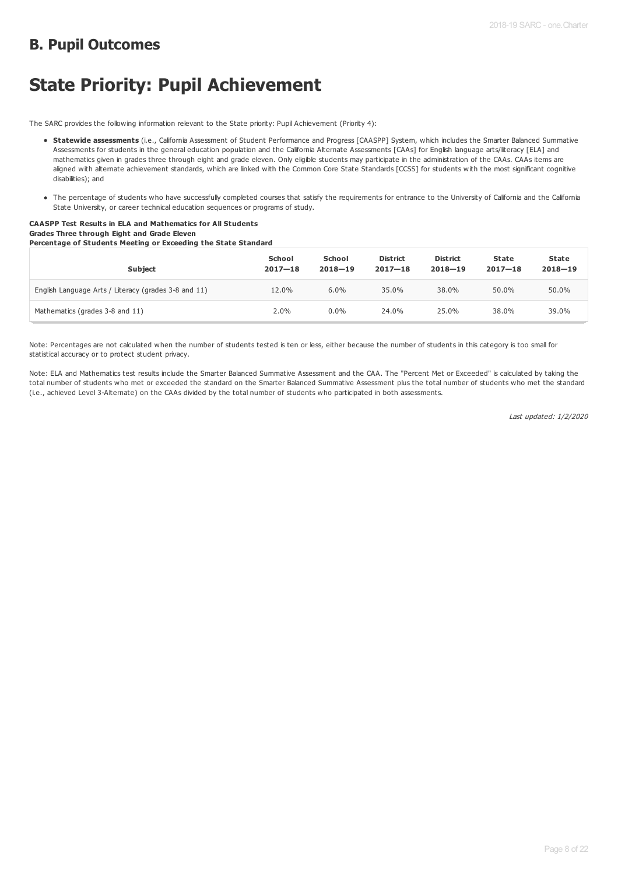# **B. Pupil Outcomes**

# **State Priority: Pupil Achievement**

The SARC provides the following information relevant to the State priority: Pupil Achievement (Priority 4):

- **Statewide assessments** (i.e., California Assessment of Student Performance and Progress [CAASPP] System, which includes the Smarter Balanced Summative Assessments for students in the general education population and the California Alternate Assessments [CAAs] for English language arts/literacy [ELA] and mathematics given in grades three through eight and grade eleven. Only eligible students may participate in the administration of the CAAs. CAAs items are aligned with alternate achievement standards, which are linked with the Common Core State Standards [CCSS] for students with the most significant cognitive disabilities); and
- The percentage of students who have successfully completed courses that satisfy the requirements for entrance to the University of California and the California State University, or career technical education sequences or programs of study.

#### **CAASPP Test Results in ELA and Mathematics for All Students Grades Three through Eight and Grade Eleven Percentage of Students Meeting or Exceeding the State Standard**

| <b>Subject</b>                                       | School<br>$2017 - 18$ | School<br>$2018 - 19$ | <b>District</b><br>$2017 - 18$ | <b>District</b><br>$2018 - 19$ | State<br>$2017 - 18$ | State<br>$2018 - 19$ |
|------------------------------------------------------|-----------------------|-----------------------|--------------------------------|--------------------------------|----------------------|----------------------|
| English Language Arts / Literacy (grades 3-8 and 11) | 12.0%                 | 6.0%                  | 35.0%                          | 38.0%                          | 50.0%                | 50.0%                |
| Mathematics (grades 3-8 and 11)                      | 2.0%                  | $0.0\%$               | 24.0%                          | 25.0%                          | 38.0%                | 39.0%                |

Note: Percentages are not calculated when the number of students tested is ten or less, either because the number of students in this category is too small for statistical accuracy or to protect student privacy.

Note: ELA and Mathematics test results include the Smarter Balanced Summative Assessment and the CAA. The "Percent Met or Exceeded" is calculated by taking the total number of students who met or exceeded the standard on the Smarter Balanced Summative Assessment plus the total number of students who met the standard (i.e., achieved Level 3-Alternate) on the CAAs divided by the total number of students who participated in both assessments.

Last updated: 1/2/2020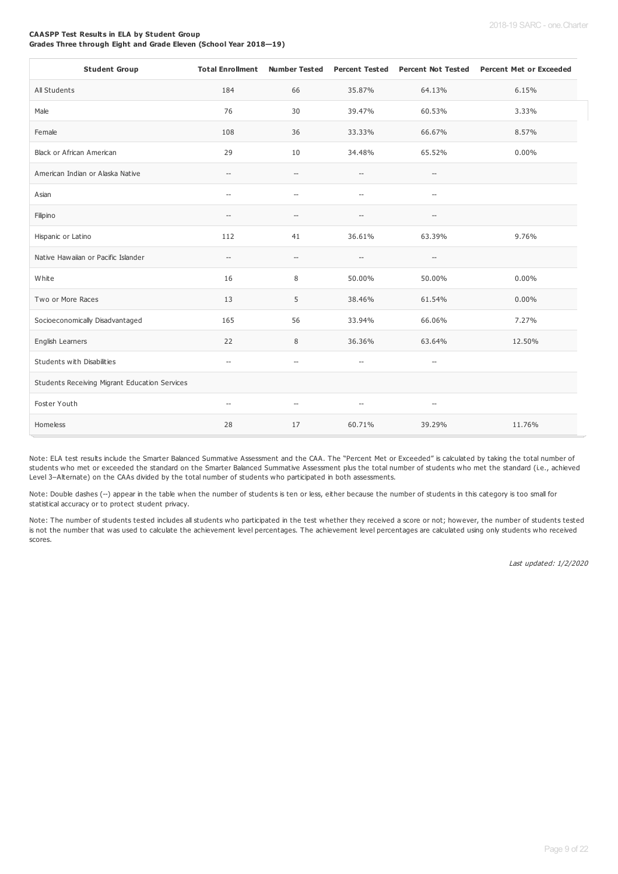#### **CAASPP Test Results in ELA by Student Group Grades Three through Eight and Grade Eleven (School Year 2018—19)**

| <b>Student Group</b>                          | Total Enrollment Number Tested Percent Tested |                                                     |                                    |                                                     | Percent Not Tested  Percent Met or Exceeded |
|-----------------------------------------------|-----------------------------------------------|-----------------------------------------------------|------------------------------------|-----------------------------------------------------|---------------------------------------------|
| All Students                                  | 184                                           | 66                                                  | 35.87%                             | 64.13%                                              | 6.15%                                       |
| Male                                          | 76                                            | 30                                                  | 39.47%                             | 60.53%                                              | 3.33%                                       |
| Female                                        | 108                                           | 36                                                  | 33.33%                             | 66.67%                                              | 8.57%                                       |
| <b>Black or African American</b>              | 29                                            | 10                                                  | 34.48%                             | 65.52%                                              | $0.00\%$                                    |
| American Indian or Alaska Native              | $\hspace{0.05cm} \ldots$                      | $\hspace{0.05cm} -\hspace{0.05cm} -\hspace{0.05cm}$ | $\hspace{0.05cm} -\hspace{0.05cm}$ | $-\!$                                               |                                             |
| Asian                                         | $\hspace{0.05cm} \ldots$                      | $\hspace{0.05cm} -\hspace{0.05cm}$                  | $\overline{\phantom{a}}$           | $\overline{\phantom{a}}$                            |                                             |
| Filipino                                      | $\overline{\phantom{a}}$                      | $\hspace{0.05cm} -\hspace{0.05cm} -\hspace{0.05cm}$ | $\hspace{0.05cm} -\hspace{0.05cm}$ | $\hspace{0.05cm} -\hspace{0.05cm} -\hspace{0.05cm}$ |                                             |
| Hispanic or Latino                            | 112                                           | 41                                                  | 36.61%                             | 63.39%                                              | 9.76%                                       |
| Native Hawaiian or Pacific Islander           | $\overline{\phantom{a}}$                      | $\hspace{0.05cm} -\hspace{0.05cm}$                  | $\overline{\phantom{a}}$           | $\overline{\phantom{a}}$                            |                                             |
| White                                         | 16                                            | 8                                                   | 50.00%                             | 50.00%                                              | $0.00\%$                                    |
| Two or More Races                             | 13                                            | 5                                                   | 38.46%                             | 61.54%                                              | $0.00\%$                                    |
| Socioeconomically Disadvantaged               | 165                                           | 56                                                  | 33.94%                             | 66.06%                                              | 7.27%                                       |
| English Learners                              | 22                                            | 8                                                   | 36.36%                             | 63.64%                                              | 12.50%                                      |
| Students with Disabilities                    | $\hspace{0.05cm} \ldots$                      | $\overline{\phantom{a}}$                            | $\overline{\phantom{a}}$           | $\overline{\phantom{a}}$                            |                                             |
| Students Receiving Migrant Education Services |                                               |                                                     |                                    |                                                     |                                             |
| Foster Youth                                  | $\overline{\phantom{a}}$                      | $\hspace{0.05cm} \ldots$                            | $\hspace{0.05cm} \ldots$           | $\hspace{0.05cm} -\hspace{0.05cm} -\hspace{0.05cm}$ |                                             |
| Homeless                                      | 28                                            | 17                                                  | 60.71%                             | 39.29%                                              | 11.76%                                      |

Note: ELA test results include the Smarter Balanced Summative Assessment and the CAA. The "Percent Met or Exceeded" is calculated by taking the total number of students who met or exceeded the standard on the Smarter Balanced Summative Assessment plus the total number of students who met the standard (i.e., achieved Level 3-Alternate) on the CAAs divided by the total number of students who participated in both assessments.

Note: Double dashes (--) appear in the table when the number of students is ten or less, either because the number of students in this category is too small for statistical accuracy or to protect student privacy.

Note: The number of students tested includes all students who participated in the test whether they received a score or not; however, the number of students tested is not the number that was used to calculate the achievement level percentages. The achievement level percentages are calculated using only students who received scores.

Last updated: 1/2/2020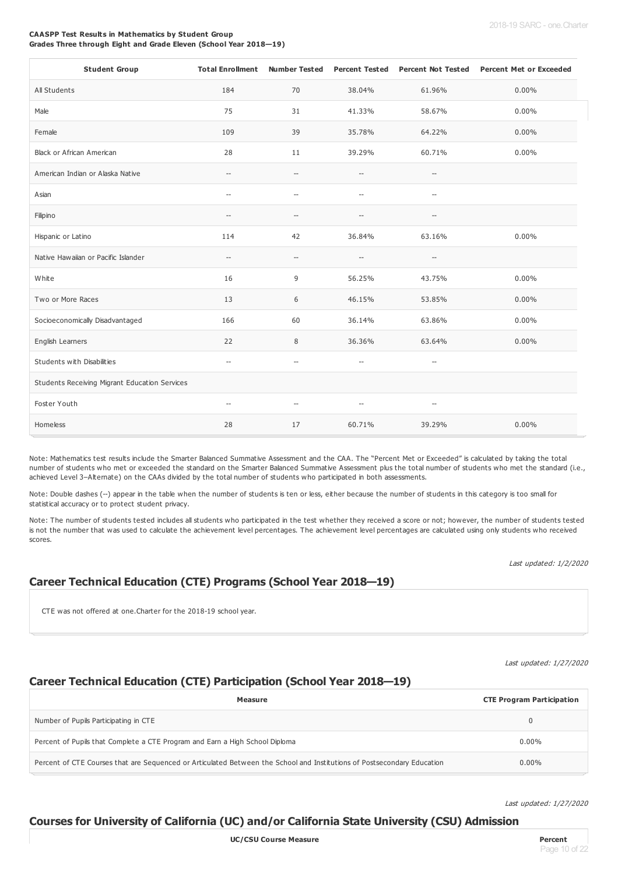#### **CAASPP Test Results in Mathematics by Student Group Grades Three through Eight and Grade Eleven (School Year 2018—19)**

| <b>Student Group</b>                          | Total Enrollment Number Tested Percent Tested |                                                     |                          |                                                     | Percent Not Tested  Percent Met or Exceeded |
|-----------------------------------------------|-----------------------------------------------|-----------------------------------------------------|--------------------------|-----------------------------------------------------|---------------------------------------------|
| All Students                                  | 184                                           | 70                                                  | 38.04%                   | 61.96%                                              | $0.00\%$                                    |
| Male                                          | 75                                            | 31                                                  | 41.33%                   | 58.67%                                              | $0.00\%$                                    |
| Female                                        | 109                                           | 39                                                  | 35.78%                   | 64.22%                                              | $0.00\%$                                    |
| Black or African American                     | 28                                            | 11                                                  | 39.29%                   | 60.71%                                              | $0.00\%$                                    |
| American Indian or Alaska Native              | $\overline{\phantom{a}}$                      | $\hspace{0.05cm} -\hspace{0.05cm} -\hspace{0.05cm}$ | $\hspace{0.05cm} -$      | $\overline{\phantom{a}}$                            |                                             |
| Asian                                         | $\overline{\phantom{a}}$                      | $\overline{\phantom{a}}$                            | $\overline{\phantom{a}}$ | $\overline{\phantom{a}}$                            |                                             |
| Filipino                                      | $\hspace{0.05cm} -$                           | $- -$                                               | $\hspace{0.05cm} -$      | $-\!$                                               |                                             |
| Hispanic or Latino                            | 114                                           | 42                                                  | 36.84%                   | 63.16%                                              | $0.00\%$                                    |
| Native Hawaiian or Pacific Islander           | $\overline{\phantom{a}}$                      | $- -$                                               | $\overline{\phantom{a}}$ | $-\!$                                               |                                             |
| White                                         | 16                                            | 9                                                   | 56.25%                   | 43.75%                                              | $0.00\%$                                    |
| Two or More Races                             | 13                                            | 6                                                   | 46.15%                   | 53.85%                                              | $0.00\%$                                    |
| Socioeconomically Disadvantaged               | 166                                           | 60                                                  | 36.14%                   | 63.86%                                              | $0.00\%$                                    |
| English Learners                              | 22                                            | 8                                                   | 36.36%                   | 63.64%                                              | $0.00\%$                                    |
| Students with Disabilities                    | $\hspace{0.05cm} \ldots$                      | --                                                  | $\overline{\phantom{a}}$ | $\overline{\phantom{m}}$                            |                                             |
| Students Receiving Migrant Education Services |                                               |                                                     |                          |                                                     |                                             |
| Foster Youth                                  | $\overline{\phantom{a}}$                      | $\hspace{0.05cm} -\hspace{0.05cm}$                  | $\overline{a}$           | $\hspace{0.05cm} -\hspace{0.05cm} -\hspace{0.05cm}$ |                                             |
| Homeless                                      | 28                                            | 17                                                  | 60.71%                   | 39.29%                                              | 0.00%                                       |

Note: Mathematics test results include the Smarter Balanced Summative Assessment and the CAA. The "Percent Met or Exceeded" is calculated by taking the total number of students who met or exceeded the standard on the Smarter Balanced Summative Assessment plus the total number of students who met the standard (i.e., achieved Level 3–Alternate) on the CAAs divided by the total number of students who participated in both assessments.

Note: Double dashes (--) appear in the table when the number of students is ten or less, either because the number of students in this category is too small for statistical accuracy or to protect student privacy.

Note: The number of students tested includes all students who participated in the test whether they received a score or not; however, the number of students tested is not the number that was used to calculate the achievement level percentages. The achievement level percentages are calculated using only students who received scores.

Last updated: 1/2/2020

### **Career Technical Education (CTE) Programs (School Year 2018—19)**

CTE was not offered at one.Charter for the 2018-19 school year.

Last updated: 1/27/2020

## **Career Technical Education (CTE) Participation (School Year 2018—19)**

| Measure                                                                                                                 | <b>CTE Program Participation</b> |
|-------------------------------------------------------------------------------------------------------------------------|----------------------------------|
| Number of Pupils Participating in CTE                                                                                   |                                  |
| Percent of Pupils that Complete a CTE Program and Earn a High School Diploma                                            | $0.00\%$                         |
| Percent of CTE Courses that are Sequenced or Articulated Between the School and Institutions of Postsecondary Education | $0.00\%$                         |

Last updated: 1/27/2020

### **Courses for University of California (UC) and/or California State University (CSU) Admission**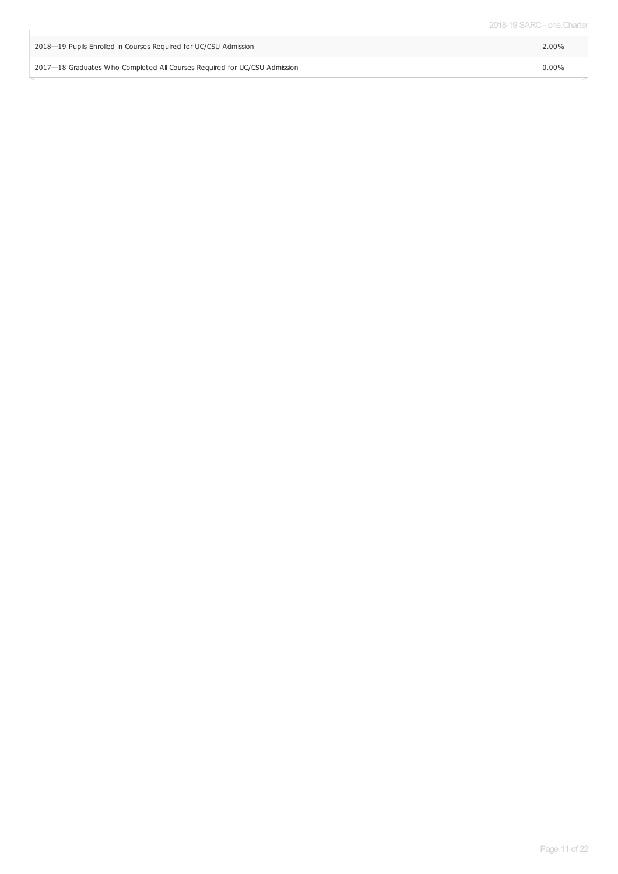| 2018—19 Pupils Enrolled in Courses Required for UC/CSU Admission          | 2.00%    |
|---------------------------------------------------------------------------|----------|
| 2017-18 Graduates Who Completed All Courses Required for UC/CSU Admission | $0.00\%$ |

 $\mathbb{R}$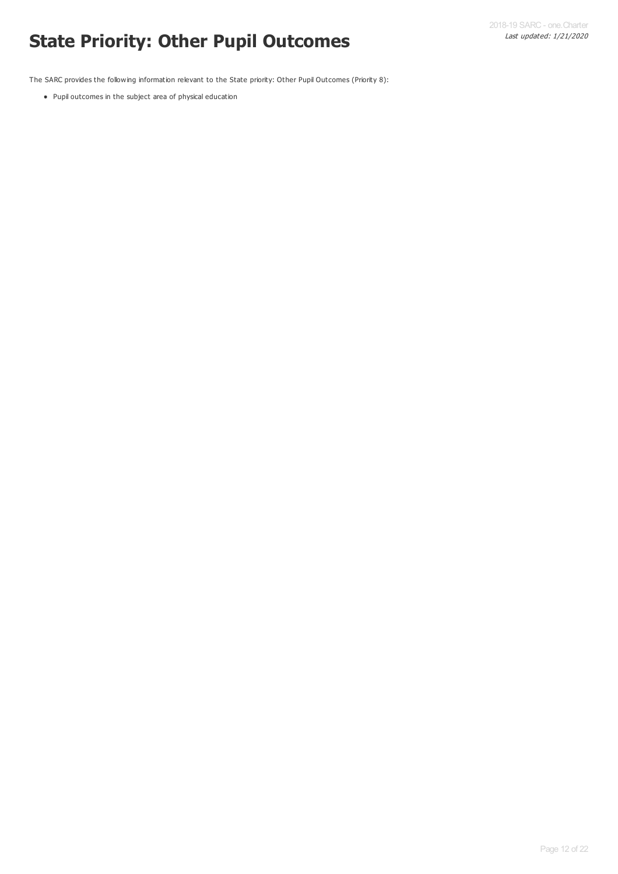# Last updated: 1/21/2020 **State Priority: Other Pupil Outcomes**

The SARC provides the following information relevant to the State priority: Other Pupil Outcomes (Priority 8):

Pupil outcomes in the subject area of physical education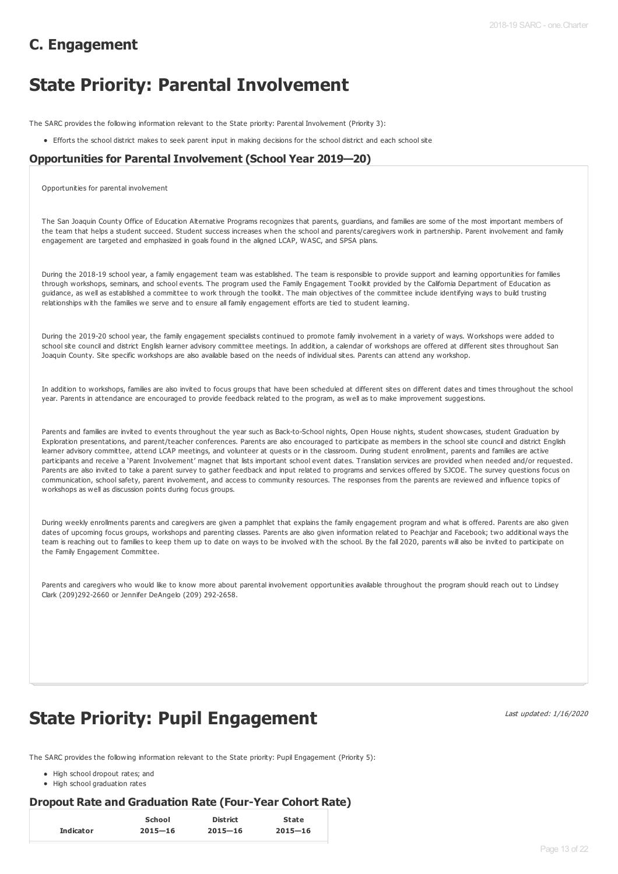# **C. Engagement**

# **State Priority: Parental Involvement**

The SARC provides the following information relevant to the State priority: Parental Involvement (Priority 3):

Efforts the school district makes to seek parent input in making decisions for the school district and each school site

#### **Opportunities for Parental Involvement (School Year 2019—20)**

Opportunities for parental involvement

The San Joaquin County Office of Education Alternative Programs recognizes that parents, guardians, and families are some of the most important members of the team that helps a student succeed. Student success increases when the school and parents/caregivers work in partnership. Parent involvement and family engagement are targeted and emphasized in goals found in the aligned LCAP, WASC, and SPSA plans.

During the 2018-19 school year, a family engagement team was established. The team is responsible to provide support and learning opportunities for families through workshops, seminars, and school events. The program used the Family Engagement Toolkit provided by the California Department of Education as guidance, as well as established a committee to work through the toolkit. The main objectives of the committee include identifying ways to build trusting relationships with the families we serve and to ensure all family engagement efforts are tied to student learning.

During the 2019-20 school year, the family engagement specialists continued to promote family involvement in a variety of ways. Workshops were added to school site council and district English learner advisory committee meetings. In addition, a calendar of workshops are offered at different sites throughout San Joaquin County. Site specific workshops are also available based on the needs of individual sites. Parents can attend any workshop.

In addition to workshops, families are also invited to focus groups that have been scheduled at different sites on different dates and times throughout the school year. Parents in attendance are encouraged to provide feedback related to the program, as well as to make improvement suggestions.

Parents and families are invited to events throughout the year such as Back-to-School nights, Open House nights, student showcases, student Graduation by Exploration presentations, and parent/teacher conferences. Parents are also encouraged to participate as members in the school site council and district English learner advisory committee, attend LCAP meetings, and volunteer at quests or in the classroom. During student enrollment, parents and families are active participants and receive a 'Parent Involvement' magnet that lists important school event dates. Translation services are provided when needed and/or requested. Parents are also invited to take a parent survey to gather feedback and input related to programs and services offered by SJCOE. The survey questions focus on communication, school safety, parent involvement, and access to community resources. The responses from the parents are reviewed and influence topics of workshops as well as discussion points during focus groups.

During weekly enrollments parents and caregivers are given a pamphlet that explains the family engagement program and what is offered. Parents are also given dates of upcoming focus groups, workshops and parenting classes. Parents are also given information related to Peachjar and Facebook; two additional ways the team is reaching out to families to keep them up to date on ways to be involved with the school. By the fall 2020, parents will also be invited to participate on the Family Engagement Committee.

Parents and caregivers who would like to know more about parental involvement opportunities available throughout the program should reach out to Lindsey Clark (209)292-2660 or Jennifer DeAngelo (209) 292-2658.

# **State Priority: Pupil Engagement**

Last updated: 1/16/2020

The SARC provides the following information relevant to the State priority: Pupil Engagement (Priority 5):

- High school dropout rates; and
- High school graduation rates

### **Dropout Rate and Graduation Rate (Four-Year Cohort Rate)**

|                  | School      | <b>District</b> | <b>State</b> |
|------------------|-------------|-----------------|--------------|
| <b>Indicator</b> | $2015 - 16$ | $2015 - 16$     | $2015 - 16$  |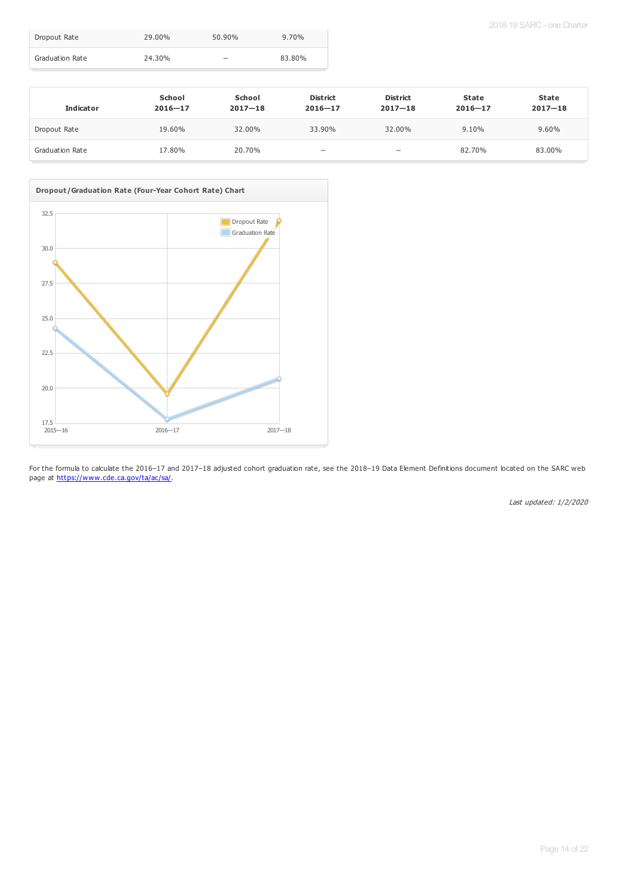| Dropout Rate    | 29.00% | 50.90% | $9.70\%$ |
|-----------------|--------|--------|----------|
| Graduation Rate | 24.30% | $\sim$ | 83.80%   |

| <b>Indicator</b> | School<br>$2016 - 17$ | School<br>$2017 - 18$ | <b>District</b><br>$2016 - 17$ | <b>District</b><br>$2017 - 18$ | State<br>$2016 - 17$ | <b>State</b><br>$2017 - 18$ |
|------------------|-----------------------|-----------------------|--------------------------------|--------------------------------|----------------------|-----------------------------|
| Dropout Rate     | 19.60%                | 32.00%                | 33.90%                         | 32.00%                         | 9.10%                | 9.60%                       |
| Graduation Rate  | 17.80%                | 20.70%                | $\hspace{0.05cm} \ldots$       | $\hspace{0.05cm} -$            | 82.70%               | 83.00%                      |



For the formula to calculate the 2016–17 and 2017–18 adjusted cohort graduation rate, see the 2018–19 Data Element Definitions document located on the SARC web page at <https://www.cde.ca.gov/ta/ac/sa/>.

Last updated: 1/2/2020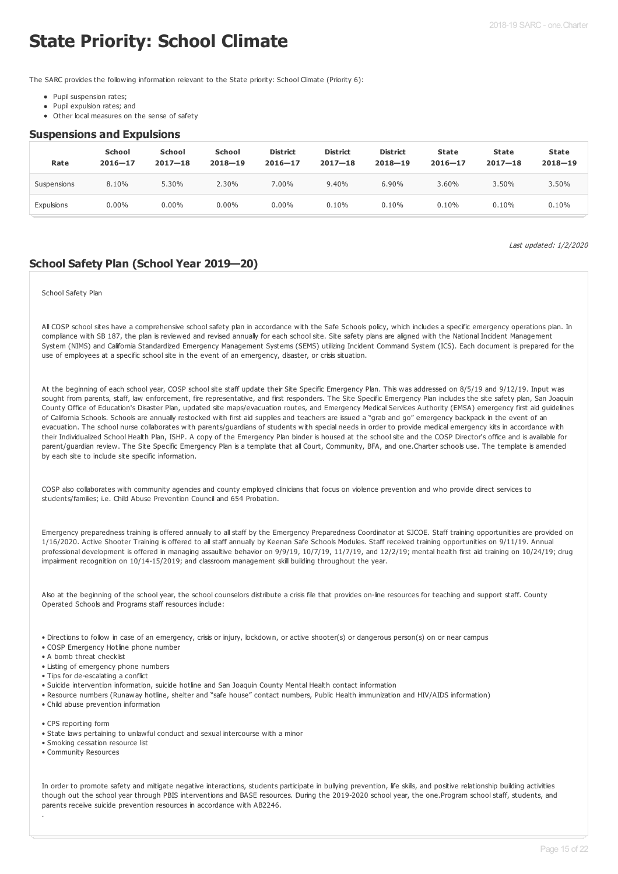# **State Priority: School Climate**

The SARC provides the following information relevant to the State priority: School Climate (Priority 6):

- Pupil suspension rates;
- Pupil expulsion rates; and
- Other local measures on the sense of safety

#### **Suspensions and Expulsions**

| Rate        | <b>School</b><br>$2016 - 17$ | <b>School</b><br>$2017 - 18$ | <b>School</b><br>$2018 - 19$ | <b>District</b><br>$2016 - 17$ | <b>District</b><br>$2017 - 18$ | <b>District</b><br>$2018 - 19$ | State<br>$2016 - 17$ | <b>State</b><br>$2017 - 18$ | <b>State</b><br>$2018 - 19$ |
|-------------|------------------------------|------------------------------|------------------------------|--------------------------------|--------------------------------|--------------------------------|----------------------|-----------------------------|-----------------------------|
| Suspensions | 8.10%                        | 5.30%                        | 2.30%                        | 7.00%                          | 9.40%                          | 6.90%                          | 3.60%                | 3.50%                       | 3.50%                       |
| Expulsions  | $0.00\%$                     | $0.00\%$                     | $0.00\%$                     | $0.00\%$                       | 0.10%                          | 0.10%                          | 0.10%                | 0.10%                       | 0.10%                       |

Last updated: 1/2/2020

## **School Safety Plan (School Year 2019—20)**

#### School Safety Plan

All COSP school sites have a comprehensive school safety plan in accordance with the Safe Schools policy, which includes a specific emergency operations plan. In compliance with SB 187, the plan is reviewed and revised annually for each school site. Site safety plans are aligned with the National Incident Management System (NIMS) and California Standardized Emergency Management Systems (SEMS) utilizing Incident Command System (ICS). Each document is prepared for the use of employees at a specific school site in the event of an emergency, disaster, or crisis situation.

At the beginning of each school year, COSP school site staff update their Site Specific Emergency Plan. This was addressed on 8/5/19 and 9/12/19. Input was sought from parents, staff, law enforcement, fire representative, and first responders. The Site Specific Emergency Plan includes the site safety plan, San Joaquin County Office of Education's Disaster Plan, updated site maps/evacuation routes, and Emergency Medical Services Authority (EMSA) emergency first aid guidelines of California Schools. Schools are annually restocked with first aid supplies and teachers are issued a "grab and go" emergency backpack in the event of an evacuation. The school nurse collaborates with parents/guardians of students with special needs in order to provide medical emergency kits in accordance with their Individualized School Health Plan, ISHP. A copy of the Emergency Plan binder is housed at the school site and the COSP Director's office and is available for parent/guardian review. The Site Specific Emergency Plan is a template that all Court, Community, BFA, and one.Charter schools use. The template is amended by each site to include site specific information.

COSP also collaborates with community agencies and county employed clinicians that focus on violence prevention and who provide direct services to students/families; i.e. Child Abuse Prevention Council and 654 Probation.

Emergency preparedness training is offered annually to all staff by the Emergency Preparedness Coordinator at SJCOE. Staff training opportunities are provided on 1/16/2020. Active Shooter Training is offered to all staff annually by Keenan Safe Schools Modules. Staff received training opportunities on 9/11/19. Annual professional development is offered in managing assaultive behavior on 9/9/19, 10/7/19, 11/7/19, and 12/2/19; mental health first aid training on 10/24/19; drug impairment recognition on 10/14-15/2019; and classroom management skill building throughout the year.

Also at the beginning of the school year, the school counselors distribute a crisis file that provides on-line resources for teaching and support staff. County Operated Schools and Programs staff resources include:

• Directions to follow in case of an emergency, crisis or injury, lockdown, or active shooter(s) or dangerous person(s) on or near campus

- COSP Emergency Hotline phone number
- A bomb threat checklist
- Listing of emergency phone numbers
- Tips for de-escalating a conflict
- Suicide intervention information, suicide hotline and San Joaquin County Mental Health contact information
- Resource numbers (Runaway hotline, shelter and "safe house" contact numbers, Public Health immunization and HIV/AIDS information)
- Child abuse prevention information
- CPS reporting form
- State laws pertaining to unlawful conduct and sexual intercourse with a minor
- Smoking cessation resource list
- Community Resources

.

In order to promote safety and mitigate negative interactions, students participate in bullying prevention, life skills, and positive relationship building activities though out the school year through PBIS interventions and BASE resources. During the 2019-2020 school year, the one.Program school staff, students, and parents receive suicide prevention resources in accordance with AB2246.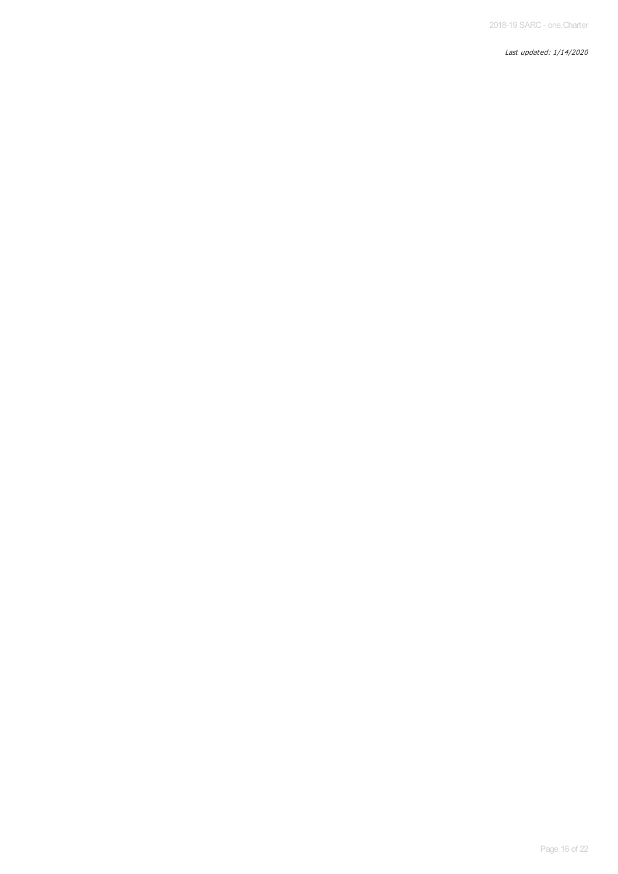Last updated: 1/14/2020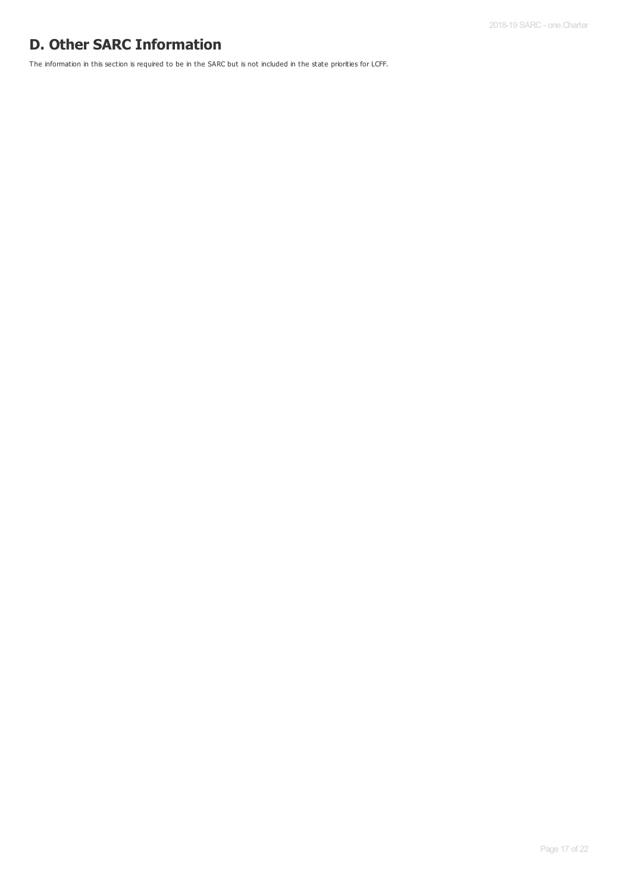# **D. Other SARC Information**

The information in this section is required to be in the SARC but is not included in the state priorities for LCFF.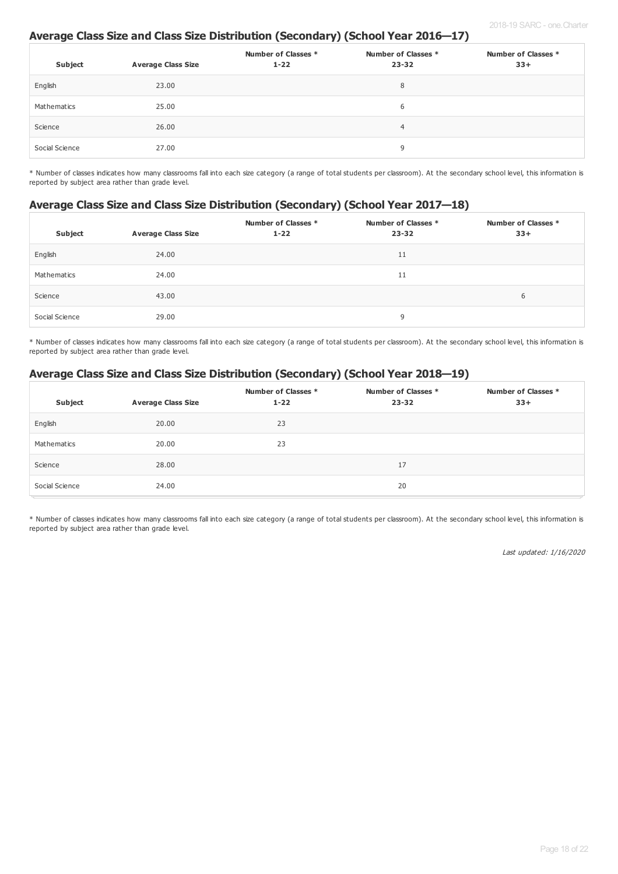## **Average Class Size and Class Size Distribution (Secondary) (School Year 2016—17)**

|                |                           | Number of Classes * | Number of Classes * | Number of Classes * |
|----------------|---------------------------|---------------------|---------------------|---------------------|
| Subject        | <b>Average Class Size</b> | $1 - 22$            | $23 - 32$           | $33+$               |
| English        | 23.00                     |                     | 8                   |                     |
| Mathematics    | 25.00                     |                     | 6                   |                     |
| Science        | 26.00                     |                     | 4                   |                     |
| Social Science | 27.00                     |                     | 9                   |                     |

\* Number of classes indicates how many classrooms fall into each size category (a range of total students per classroom). At the secondary school level, this information is reported by subject area rather than grade level.

### **Average Class Size and Class Size Distribution (Secondary) (School Year 2017—18)**

| Subject        | <b>Average Class Size</b> | Number of Classes *<br>$1 - 22$ | Number of Classes *<br>$23 - 32$ | Number of Classes *<br>$33+$ |
|----------------|---------------------------|---------------------------------|----------------------------------|------------------------------|
| English        | 24.00                     |                                 | 11                               |                              |
| Mathematics    | 24.00                     |                                 | 11                               |                              |
| Science        | 43.00                     |                                 |                                  | 6                            |
| Social Science | 29.00                     |                                 | 9                                |                              |

\* Number of classes indicates how many classrooms fall into each size category (a range of total students per classroom). At the secondary school level, this information is reported by subject area rather than grade level.

## **Average Class Size and Class Size Distribution (Secondary) (School Year 2018—19)**

| Subject        | <b>Average Class Size</b> | Number of Classes *<br>$1 - 22$ | Number of Classes *<br>$23 - 32$ | Number of Classes *<br>$33+$ |
|----------------|---------------------------|---------------------------------|----------------------------------|------------------------------|
| English        | 20.00                     | 23                              |                                  |                              |
| Mathematics    | 20.00                     | 23                              |                                  |                              |
| Science        | 28.00                     |                                 | 17                               |                              |
| Social Science | 24.00                     |                                 | 20                               |                              |

\* Number of classes indicates how many classrooms fall into each size category (a range of total students per classroom). At the secondary school level, this information is reported by subject area rather than grade level.

Last updated: 1/16/2020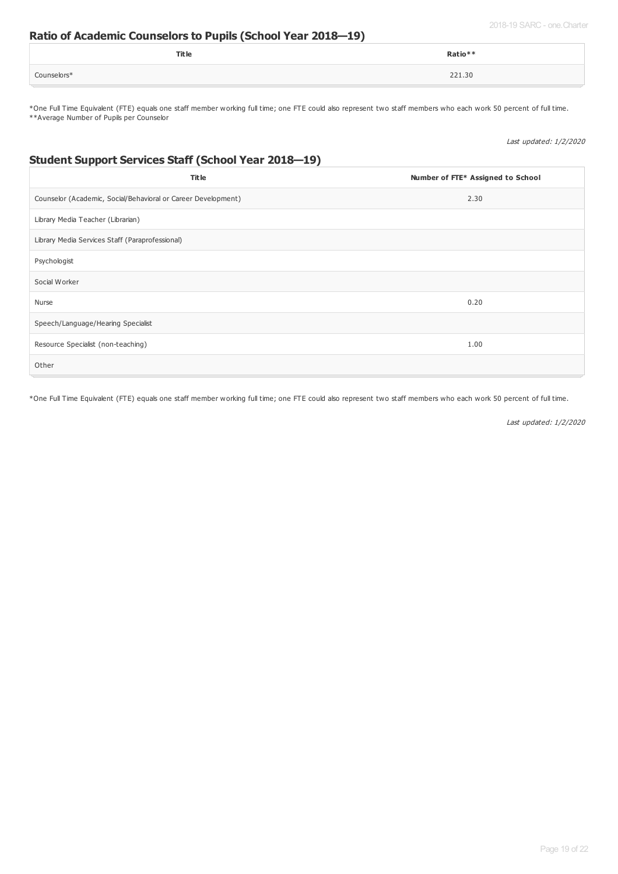2018-19 SARC - one.Charter

## **Ratio of Academic Counselors to Pupils (School Year 2018—19)**

|             | <b>Title</b> | Ratio** |
|-------------|--------------|---------|
| Counselors* |              | 221.30  |

\*One Full Time Equivalent (FTE) equals one staff member working full time; one FTE could also represent two staff members who each work 50 percent of full time. \*\*Average Number of Pupils per Counselor

Last updated: 1/2/2020

# **Student Support Services Staff (School Year 2018—19)**

| <b>Title</b>                                                  | Number of FTE* Assigned to School |
|---------------------------------------------------------------|-----------------------------------|
| Counselor (Academic, Social/Behavioral or Career Development) | 2.30                              |
| Library Media Teacher (Librarian)                             |                                   |
| Library Media Services Staff (Paraprofessional)               |                                   |
| Psychologist                                                  |                                   |
| Social Worker                                                 |                                   |
| Nurse                                                         | 0.20                              |
| Speech/Language/Hearing Specialist                            |                                   |
| Resource Specialist (non-teaching)                            | 1.00                              |
| Other                                                         |                                   |

\*One Full Time Equivalent (FTE) equals one staff member working full time; one FTE could also represent two staff members who each work 50 percent of full time.

Last updated: 1/2/2020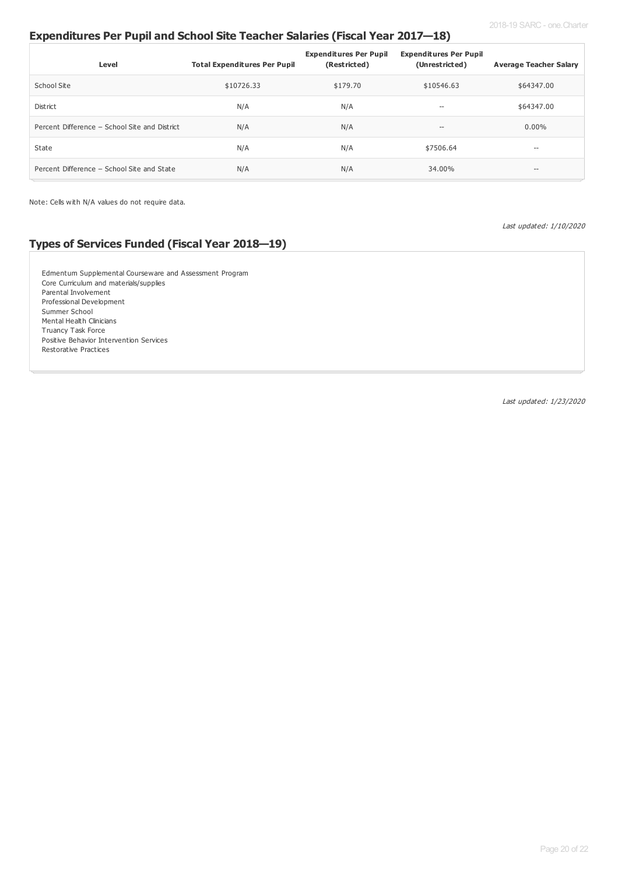#### 2018-19 SARC - one.Charter

# **Expenditures Per Pupil and School Site Teacher Salaries (Fiscal Year 2017—18)**

| Level                                         | <b>Total Expenditures Per Pupil</b> | <b>Expenditures Per Pupil</b><br>(Restricted) | <b>Expenditures Per Pupil</b><br>(Unrestricted)     | <b>Average Teacher Salary</b>                       |
|-----------------------------------------------|-------------------------------------|-----------------------------------------------|-----------------------------------------------------|-----------------------------------------------------|
| School Site                                   | \$10726.33                          | \$179.70                                      | \$10546.63                                          | \$64347.00                                          |
| District                                      | N/A                                 | N/A                                           | $\hspace{0.05cm} -\hspace{0.05cm} -\hspace{0.05cm}$ | \$64347.00                                          |
| Percent Difference - School Site and District | N/A                                 | N/A                                           | $\hspace{0.05cm} -\hspace{0.05cm} -\hspace{0.05cm}$ | $0.00\%$                                            |
| State                                         | N/A                                 | N/A                                           | \$7506.64                                           | $\hspace{0.05cm} -\hspace{0.05cm} -\hspace{0.05cm}$ |
| Percent Difference - School Site and State    | N/A                                 | N/A                                           | 34.00%                                              | $\hspace{0.1mm}-\hspace{0.1mm}-\hspace{0.1mm}$      |

Note: Cells with N/A values do not require data.

Last updated: 1/10/2020

# **Types of Services Funded (Fiscal Year 2018—19)**

Edmentum Supplemental Courseware and Assessment Program Core Curriculum and materials/supplies Parental Involvement Professional Development Summer School Mental Health Clinicians Truancy Task Force Positive Behavior Intervention Services Restorative Practices

Last updated: 1/23/2020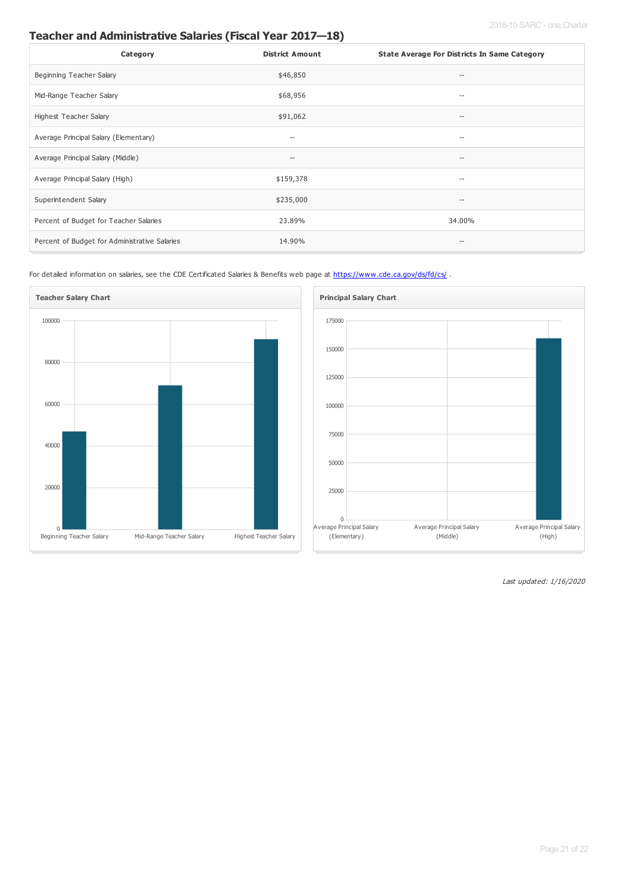# **Teacher and Administrative Salaries (Fiscal Year 2017—18)**

| Category                                      | <b>District Amount</b> | <b>State Average For Districts In Same Category</b> |
|-----------------------------------------------|------------------------|-----------------------------------------------------|
| Beginning Teacher Salary                      | \$46,850               | $-\!$                                               |
| Mid-Range Teacher Salary                      | \$68,956               | $-\!$                                               |
| Highest Teacher Salary                        | \$91,062               | $-\!$                                               |
| Average Principal Salary (Elementary)         | $- -$                  | $\hspace{0.05cm} -$                                 |
| Average Principal Salary (Middle)             | $\hspace{0.05cm}$      | $\hspace{0.05cm} -\hspace{0.05cm} -\hspace{0.05cm}$ |
| Average Principal Salary (High)               | \$159,378              | $-\!$                                               |
| Superintendent Salary                         | \$235,000              | $-\!$                                               |
| Percent of Budget for Teacher Salaries        | 23.89%                 | 34.00%                                              |
| Percent of Budget for Administrative Salaries | 14.90%                 |                                                     |

For detailed information on salaries, see the CDE Certificated Salaries & Benefits web page at <https://www.cde.ca.gov/ds/fd/cs/>.





Last updated: 1/16/2020